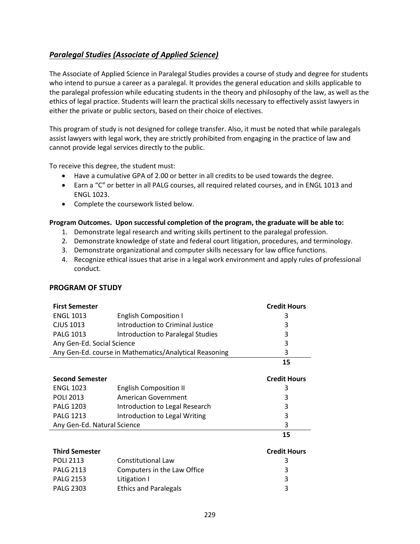## <span id="page-0-0"></span>*[Paralegal Studies \(Associate of Applied Science\)](#page-0-0)*

The Associate of Applied Science in Paralegal Studies provides a course of study and degree for students who intend to pursue a career as a paralegal. It provides the general education and skills applicable to the paralegal profession while educating students in the theory and philosophy of the law, as well as the ethics of legal practice. Students will learn the practical skills necessary to effectively assist lawyers in either the private or public sectors, based on their choice of electives.

This program of study is not designed for college transfer. Also, it must be noted that while paralegals assist lawyers with legal work, they are strictly prohibited from engaging in the practice of law and cannot provide legal services directly to the public.

To receive this degree, the student must:

- Have a cumulative GPA of 2.00 or better in all credits to be used towards the degree.
- Earn a "C" or better in all PALG courses, all required related courses, and in ENGL 1013 and ENGL 1023.
- Complete the coursework listed below.

## **Program Outcomes. Upon successful completion of the program, the graduate will be able to:**

- 1. Demonstrate legal research and writing skills pertinent to the paralegal profession.
- 2. Demonstrate knowledge of state and federal court litigation, procedures, and terminology.
- 3. Demonstrate organizational and computer skills necessary for law office functions.
- 4. Recognize ethical issues that arise in a legal work environment and apply rules of professional conduct.

## **PROGRAM OF STUDY**

| <b>First Semester</b>                                  |                                   | <b>Credit Hours</b> |
|--------------------------------------------------------|-----------------------------------|---------------------|
| <b>ENGL 1013</b>                                       | <b>English Composition I</b>      | 3                   |
| <b>CJUS 1013</b>                                       | Introduction to Criminal Justice  | 3                   |
| <b>PALG 1013</b>                                       | Introduction to Paralegal Studies | 3                   |
| Any Gen-Ed. Social Science                             |                                   | 3                   |
| Any Gen-Ed. course in Mathematics/Analytical Reasoning |                                   | 3                   |
|                                                        |                                   | 15                  |
|                                                        |                                   |                     |
| <b>Second Semester</b>                                 |                                   | <b>Credit Hours</b> |
| <b>ENGL 1023</b>                                       | <b>English Composition II</b>     | 3                   |
| <b>POLI 2013</b>                                       | American Government               | 3                   |
| <b>PALG 1203</b>                                       | Introduction to Legal Research    | 3                   |
| <b>PALG 1213</b>                                       | Introduction to Legal Writing     | 3                   |
| Any Gen-Ed. Natural Science                            |                                   | 3                   |
|                                                        |                                   | 15                  |
| <b>Third Semester</b>                                  |                                   | <b>Credit Hours</b> |

| .                |                              | ---------- |
|------------------|------------------------------|------------|
| <b>POLI 2113</b> | Constitutional Law           |            |
| <b>PALG 2113</b> | Computers in the Law Office  | 2          |
| <b>PALG 2153</b> | Litigation I                 | 2.         |
| <b>PALG 2303</b> | <b>Ethics and Paralegals</b> | 2.         |